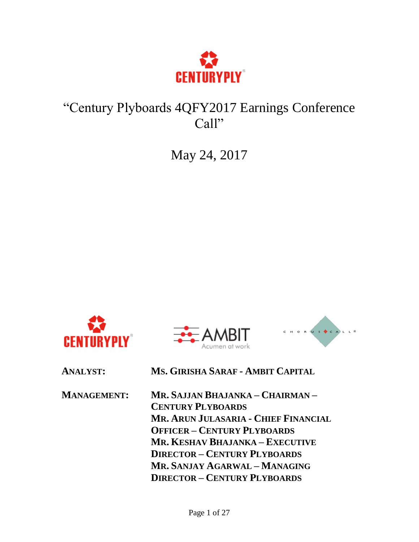

# "Century Plyboards 4QFY2017 Earnings Conference Call"

May 24, 2017







**ANALYST: MS. GIRISHA SARAF - AMBIT CAPITAL**

| <b>MANAGEMENT:</b> | MR. SAJJAN BHAJANKA – CHAIRMAN –     |
|--------------------|--------------------------------------|
|                    | <b>CENTURY PLYBOARDS</b>             |
|                    | MR. ARUN JULASARIA - CHIEF FINANCIAL |
|                    | <b>OFFICER - CENTURY PLYBOARDS</b>   |
|                    | MR. KESHAV BHAJANKA – EXECUTIVE      |
|                    | <b>DIRECTOR - CENTURY PLYBOARDS</b>  |
|                    | MR. SANJAY AGARWAL - MANAGING        |
|                    | <b>DIRECTOR - CENTURY PLYBOARDS</b>  |
|                    |                                      |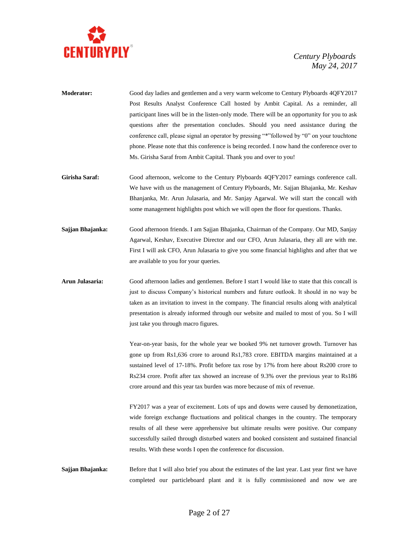

- **Moderator:** Good day ladies and gentlemen and a very warm welcome to Century Plyboards 4QFY2017 Post Results Analyst Conference Call hosted by Ambit Capital. As a reminder, all participant lines will be in the listen-only mode. There will be an opportunity for you to ask questions after the presentation concludes. Should you need assistance during the conference call, please signal an operator by pressing "\*"followed by "0" on your touchtone phone. Please note that this conference is being recorded. I now hand the conference over to Ms. Girisha Saraf from Ambit Capital. Thank you and over to you!
- **Girisha Saraf:** Good afternoon, welcome to the Century Plyboards 4QFY2017 earnings conference call. We have with us the management of Century Plyboards, Mr. Sajjan Bhajanka, Mr. Keshav Bhanjanka, Mr. Arun Julasaria, and Mr. Sanjay Agarwal. We will start the concall with some management highlights post which we will open the floor for questions. Thanks.
- **Sajjan Bhajanka:** Good afternoon friends. I am Sajjan Bhajanka, Chairman of the Company. Our MD, Sanjay Agarwal, Keshav, Executive Director and our CFO, Arun Julasaria, they all are with me. First I will ask CFO, Arun Julasaria to give you some financial highlights and after that we are available to you for your queries.
- **Arun Julasaria:** Good afternoon ladies and gentlemen. Before I start I would like to state that this concall is just to discuss Company's historical numbers and future outlook. It should in no way be taken as an invitation to invest in the company. The financial results along with analytical presentation is already informed through our website and mailed to most of you. So I will just take you through macro figures.

Year-on-year basis, for the whole year we booked 9% net turnover growth. Turnover has gone up from Rs1,636 crore to around Rs1,783 crore. EBITDA margins maintained at a sustained level of 17-18%. Profit before tax rose by 17% from here about Rs200 crore to Rs234 crore. Profit after tax showed an increase of 9.3% over the previous year to Rs186 crore around and this year tax burden was more because of mix of revenue.

FY2017 was a year of excitement. Lots of ups and downs were caused by demonetization, wide foreign exchange fluctuations and political changes in the country. The temporary results of all these were apprehensive but ultimate results were positive. Our company successfully sailed through disturbed waters and booked consistent and sustained financial results. With these words I open the conference for discussion.

**Sajjan Bhajanka:** Before that I will also brief you about the estimates of the last year. Last year first we have completed our particleboard plant and it is fully commissioned and now we are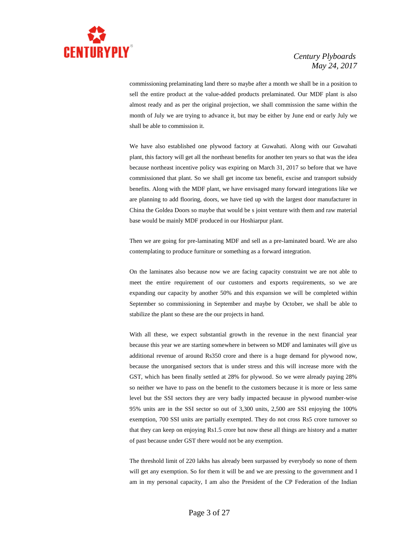

commissioning prelaminating land there so maybe after a month we shall be in a position to sell the entire product at the value-added products prelaminated. Our MDF plant is also almost ready and as per the original projection, we shall commission the same within the month of July we are trying to advance it, but may be either by June end or early July we shall be able to commission it.

We have also established one plywood factory at Guwahati. Along with our Guwahati plant, this factory will get all the northeast benefits for another ten years so that was the idea because northeast incentive policy was expiring on March 31, 2017 so before that we have commissioned that plant. So we shall get income tax benefit, excise and transport subsidy benefits. Along with the MDF plant, we have envisaged many forward integrations like we are planning to add flooring, doors, we have tied up with the largest door manufacturer in China the Goldea Doors so maybe that would be s joint venture with them and raw material base would be mainly MDF produced in our Hoshiarpur plant.

Then we are going for pre-laminating MDF and sell as a pre-laminated board. We are also contemplating to produce furniture or something as a forward integration.

On the laminates also because now we are facing capacity constraint we are not able to meet the entire requirement of our customers and exports requirements, so we are expanding our capacity by another 50% and this expansion we will be completed within September so commissioning in September and maybe by October, we shall be able to stabilize the plant so these are the our projects in hand.

With all these, we expect substantial growth in the revenue in the next financial year because this year we are starting somewhere in between so MDF and laminates will give us additional revenue of around Rs350 crore and there is a huge demand for plywood now, because the unorganised sectors that is under stress and this will increase more with the GST, which has been finally settled at 28% for plywood. So we were already paying 28% so neither we have to pass on the benefit to the customers because it is more or less same level but the SSI sectors they are very badly impacted because in plywood number-wise 95% units are in the SSI sector so out of 3,300 units, 2,500 are SSI enjoying the 100% exemption, 700 SSI units are partially exempted. They do not cross Rs5 crore turnover so that they can keep on enjoying Rs1.5 crore but now these all things are history and a matter of past because under GST there would not be any exemption.

The threshold limit of 220 lakhs has already been surpassed by everybody so none of them will get any exemption. So for them it will be and we are pressing to the government and I am in my personal capacity, I am also the President of the CP Federation of the Indian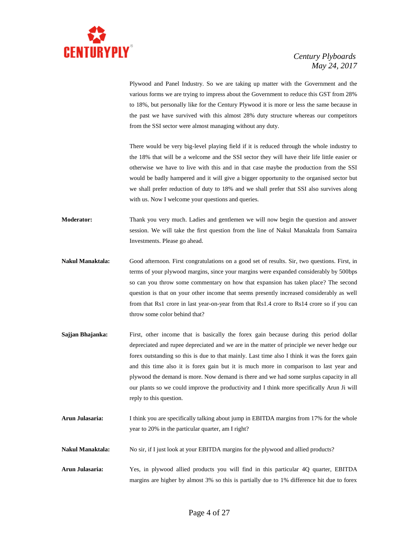

Plywood and Panel Industry. So we are taking up matter with the Government and the various forms we are trying to impress about the Government to reduce this GST from 28% to 18%, but personally like for the Century Plywood it is more or less the same because in the past we have survived with this almost 28% duty structure whereas our competitors from the SSI sector were almost managing without any duty.

There would be very big-level playing field if it is reduced through the whole industry to the 18% that will be a welcome and the SSI sector they will have their life little easier or otherwise we have to live with this and in that case maybe the production from the SSI would be badly hampered and it will give a bigger opportunity to the organised sector but we shall prefer reduction of duty to 18% and we shall prefer that SSI also survives along with us. Now I welcome your questions and queries.

**Moderator:** Thank you very much. Ladies and gentlemen we will now begin the question and answer session. We will take the first question from the line of Nakul Manaktala from Samaira Investments. Please go ahead.

- **Nakul Manaktala:** Good afternoon. First congratulations on a good set of results. Sir, two questions. First, in terms of your plywood margins, since your margins were expanded considerably by 500bps so can you throw some commentary on how that expansion has taken place? The second question is that on your other income that seems presently increased considerably as well from that Rs1 crore in last year-on-year from that Rs1.4 crore to Rs14 crore so if you can throw some color behind that?
- Sajjan Bhajanka: First, other income that is basically the forex gain because during this period dollar depreciated and rupee depreciated and we are in the matter of principle we never hedge our forex outstanding so this is due to that mainly. Last time also I think it was the forex gain and this time also it is forex gain but it is much more in comparison to last year and plywood the demand is more. Now demand is there and we had some surplus capacity in all our plants so we could improve the productivity and I think more specifically Arun Ji will reply to this question.
- **Arun Julasaria:** I think you are specifically talking about jump in EBITDA margins from 17% for the whole year to 20% in the particular quarter, am I right?
- **Nakul Manaktala:** No sir, if I just look at your EBITDA margins for the plywood and allied products?
- **Arun Julasaria:** Yes, in plywood allied products you will find in this particular 4Q quarter, EBITDA margins are higher by almost 3% so this is partially due to 1% difference hit due to forex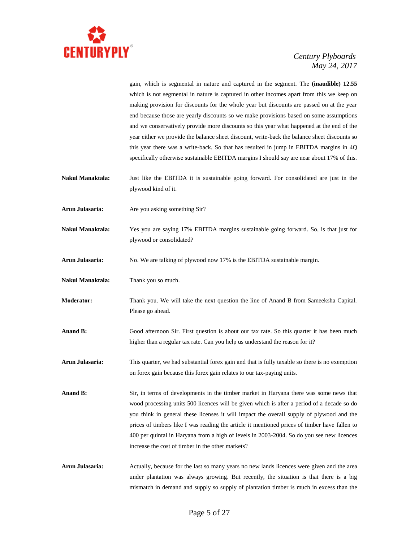

gain, which is segmental in nature and captured in the segment. The **(inaudible) 12.55** which is not segmental in nature is captured in other incomes apart from this we keep on making provision for discounts for the whole year but discounts are passed on at the year end because those are yearly discounts so we make provisions based on some assumptions and we conservatively provide more discounts so this year what happened at the end of the year either we provide the balance sheet discount, write-back the balance sheet discounts so this year there was a write-back. So that has resulted in jump in EBITDA margins in 4Q specifically otherwise sustainable EBITDA margins I should say are near about 17% of this.

- **Nakul Manaktala:** Just like the EBITDA it is sustainable going forward. For consolidated are just in the plywood kind of it.
- **Arun Julasaria:** Are you asking something Sir?
- **Nakul Manaktala:** Yes you are saying 17% EBITDA margins sustainable going forward. So, is that just for plywood or consolidated?
- **Arun Julasaria:** No. We are talking of plywood now 17% is the EBITDA sustainable margin.
- **Nakul Manaktala:** Thank you so much.
- **Moderator:** Thank you. We will take the next question the line of Anand B from Sameeksha Capital. Please go ahead.
- **Anand B:** Good afternoon Sir. First question is about our tax rate. So this quarter it has been much higher than a regular tax rate. Can you help us understand the reason for it?
- **Arun Julasaria:** This quarter, we had substantial forex gain and that is fully taxable so there is no exemption on forex gain because this forex gain relates to our tax-paying units.
- **Anand B:** Sir, in terms of developments in the timber market in Haryana there was some news that wood processing units 500 licences will be given which is after a period of a decade so do you think in general these licenses it will impact the overall supply of plywood and the prices of timbers like I was reading the article it mentioned prices of timber have fallen to 400 per quintal in Haryana from a high of levels in 2003-2004. So do you see new licences increase the cost of timber in the other markets?
- **Arun Julasaria:** Actually, because for the last so many years no new lands licences were given and the area under plantation was always growing. But recently, the situation is that there is a big mismatch in demand and supply so supply of plantation timber is much in excess than the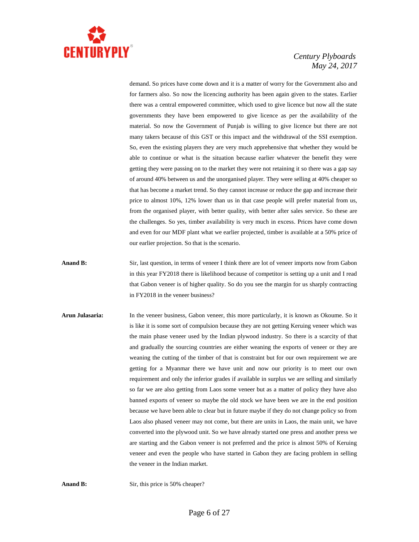

demand. So prices have come down and it is a matter of worry for the Government also and for farmers also. So now the licencing authority has been again given to the states. Earlier there was a central empowered committee, which used to give licence but now all the state governments they have been empowered to give licence as per the availability of the material. So now the Government of Punjab is willing to give licence but there are not many takers because of this GST or this impact and the withdrawal of the SSI exemption. So, even the existing players they are very much apprehensive that whether they would be able to continue or what is the situation because earlier whatever the benefit they were getting they were passing on to the market they were not retaining it so there was a gap say of around 40% between us and the unorganised player. They were selling at 40% cheaper so that has become a market trend. So they cannot increase or reduce the gap and increase their price to almost 10%, 12% lower than us in that case people will prefer material from us, from the organised player, with better quality, with better after sales service. So these are the challenges. So yes, timber availability is very much in excess. Prices have come down and even for our MDF plant what we earlier projected, timber is available at a 50% price of our earlier projection. So that is the scenario.

- **Anand B:** Sir, last question, in terms of veneer I think there are lot of veneer imports now from Gabon in this year FY2018 there is likelihood because of competitor is setting up a unit and I read that Gabon veneer is of higher quality. So do you see the margin for us sharply contracting in FY2018 in the veneer business?
- **Arun Julasaria:** In the veneer business, Gabon veneer, this more particularly, it is known as Okoume. So it is like it is some sort of compulsion because they are not getting Keruing veneer which was the main phase veneer used by the Indian plywood industry. So there is a scarcity of that and gradually the sourcing countries are either weaning the exports of veneer or they are weaning the cutting of the timber of that is constraint but for our own requirement we are getting for a Myanmar there we have unit and now our priority is to meet our own requirement and only the inferior grades if available in surplus we are selling and similarly so far we are also getting from Laos some veneer but as a matter of policy they have also banned exports of veneer so maybe the old stock we have been we are in the end position because we have been able to clear but in future maybe if they do not change policy so from Laos also phased veneer may not come, but there are units in Laos, the main unit, we have converted into the plywood unit. So we have already started one press and another press we are starting and the Gabon veneer is not preferred and the price is almost 50% of Keruing veneer and even the people who have started in Gabon they are facing problem in selling the veneer in the Indian market.

Anand B: Sir, this price is 50% cheaper?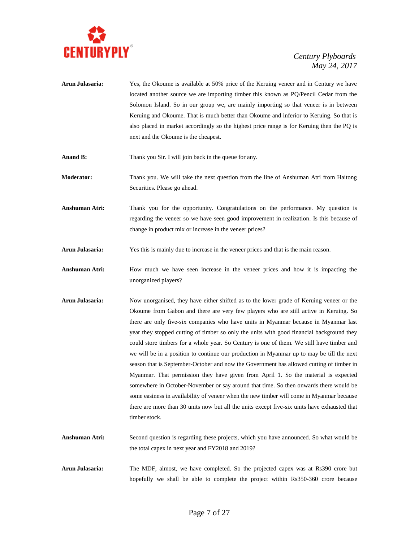

- **Arun Julasaria:** Yes, the Okoume is available at 50% price of the Keruing veneer and in Century we have located another source we are importing timber this known as PQ/Pencil Cedar from the Solomon Island. So in our group we, are mainly importing so that veneer is in between Keruing and Okoume. That is much better than Okoume and inferior to Keruing. So that is also placed in market accordingly so the highest price range is for Keruing then the PQ is next and the Okoume is the cheapest.
- **Anand B:** Thank you Sir. I will join back in the queue for any.

**Moderator:** Thank you. We will take the next question from the line of Anshuman Atri from Haitong Securities. Please go ahead.

- **Anshuman Atri:** Thank you for the opportunity. Congratulations on the performance. My question is regarding the veneer so we have seen good improvement in realization. Is this because of change in product mix or increase in the veneer prices?
- **Arun Julasaria:** Yes this is mainly due to increase in the veneer prices and that is the main reason.
- Anshuman Atri: How much we have seen increase in the veneer prices and how it is impacting the unorganized players?
- **Arun Julasaria:** Now unorganised, they have either shifted as to the lower grade of Keruing veneer or the Okoume from Gabon and there are very few players who are still active in Keruing. So there are only five-six companies who have units in Myanmar because in Myanmar last year they stopped cutting of timber so only the units with good financial background they could store timbers for a whole year. So Century is one of them. We still have timber and we will be in a position to continue our production in Myanmar up to may be till the next season that is September-October and now the Government has allowed cutting of timber in Myanmar. That permission they have given from April 1. So the material is expected somewhere in October-November or say around that time. So then onwards there would be some easiness in availability of veneer when the new timber will come in Myanmar because there are more than 30 units now but all the units except five-six units have exhausted that timber stock.
- **Anshuman Atri:** Second question is regarding these projects, which you have announced. So what would be the total capex in next year and FY2018 and 2019?
- **Arun Julasaria:** The MDF, almost, we have completed. So the projected capex was at Rs390 crore but hopefully we shall be able to complete the project within Rs350-360 crore because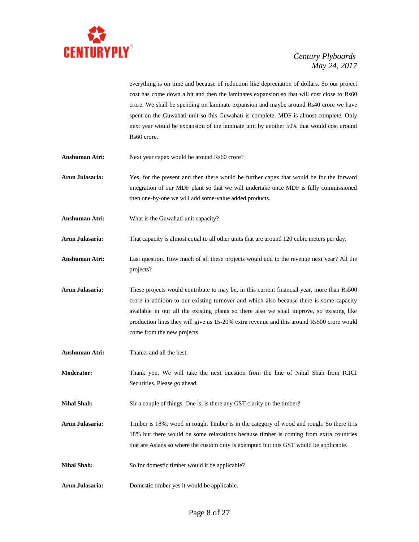

everything is on time and because of reduction like depreciation of dollars. So our project cost has come down a bit and then the laminates expansion so that will cost close to Rs60 crore. We shall be spending on laminate expansion and maybe around Rs40 crore we have spent on the Guwahati unit so this Guwahati is complete. MDF is almost complete. Only next year would be expansion of the laminate unit by another 50% that would cost around Rs60 crore.

- Anshuman Atri: Next year capex would be around Rs60 crore?
- **Arun Julasaria:** Yes, for the present and then there would be further capex that would be for the forward integration of our MDF plant so that we will undertake once MDF is fully commissioned then one-by-one we will add some-value added products.
- **Anshuman Atri:** What is the Guwahati unit capacity?
- **Arun Julasaria:** That capacity is almost equal to all other units that are around 120 cubic meters per day.
- **Anshuman Atri:** Last question. How much of all these projects would add to the revenue next year? All the projects?
- **Arun Julasaria:** These projects would contribute to may be, in this current financial year, more than Rs500 crore in addition to our existing turnover and which also because there is some capacity available in our all the existing plants so there also we shall improve, so existing like production lines they will give us 15-20% extra revenue and this around Rs500 crore would come from the new projects.
- **Anshuman Atri:** Thanks and all the best.
- **Moderator:** Thank you. We will take the next question from the line of Nihal Shah from ICICI Securities. Please go ahead.
- **Nihal Shah:** Sir a couple of things. One is, is there any GST clarity on the timber?
- **Arun Julasaria:** Timber is 18%, wood in rough. Timber is in the category of wood and rough. So there it is 18% but there would be some relaxations because timber is coming from extra countries that are Asians so where the custom duty is exempted but this GST would be applicable.
- Nihal Shah: So for domestic timber would it be applicable?
- **Arun Julasaria:** Domestic timber yes it would be applicable.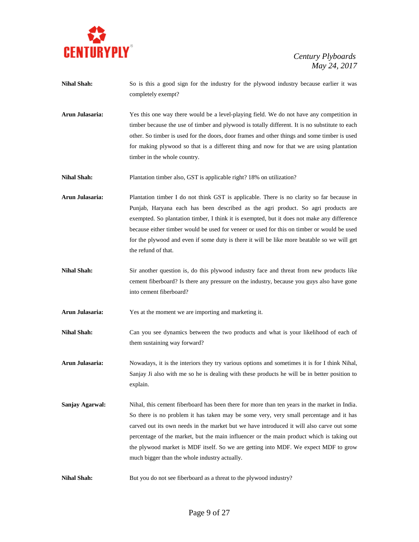

| <b>Nihal Shah:</b> | So is this a good sign for the industry for the plywood industry because earlier it was<br>completely exempt?                                                                                                                                                                                                                                                                                                                                                                                                            |
|--------------------|--------------------------------------------------------------------------------------------------------------------------------------------------------------------------------------------------------------------------------------------------------------------------------------------------------------------------------------------------------------------------------------------------------------------------------------------------------------------------------------------------------------------------|
| Arun Julasaria:    | Yes this one way there would be a level-playing field. We do not have any competition in<br>timber because the use of timber and plywood is totally different. It is no substitute to each<br>other. So timber is used for the doors, door frames and other things and some timber is used<br>for making plywood so that is a different thing and now for that we are using plantation<br>timber in the whole country.                                                                                                   |
| <b>Nihal Shah:</b> | Plantation timber also, GST is applicable right? 18% on utilization?                                                                                                                                                                                                                                                                                                                                                                                                                                                     |
| Arun Julasaria:    | Plantation timber I do not think GST is applicable. There is no clarity so far because in<br>Punjab, Haryana each has been described as the agri product. So agri products are<br>exempted. So plantation timber, I think it is exempted, but it does not make any difference<br>because either timber would be used for veneer or used for this on timber or would be used<br>for the plywood and even if some duty is there it will be like more beatable so we will get<br>the refund of that.                        |
| <b>Nihal Shah:</b> | Sir another question is, do this plywood industry face and threat from new products like<br>cement fiberboard? Is there any pressure on the industry, because you guys also have gone<br>into cement fiberboard?                                                                                                                                                                                                                                                                                                         |
| Arun Julasaria:    | Yes at the moment we are importing and marketing it.                                                                                                                                                                                                                                                                                                                                                                                                                                                                     |
| <b>Nihal Shah:</b> | Can you see dynamics between the two products and what is your likelihood of each of<br>them sustaining way forward?                                                                                                                                                                                                                                                                                                                                                                                                     |
| Arun Julasaria:    | Nowadays, it is the interiors they try various options and sometimes it is for I think Nihal,<br>Sanjay Ji also with me so he is dealing with these products he will be in better position to<br>explain.                                                                                                                                                                                                                                                                                                                |
| Sanjay Agarwal:    | Nihal, this cement fiberboard has been there for more than ten years in the market in India.<br>So there is no problem it has taken may be some very, very small percentage and it has<br>carved out its own needs in the market but we have introduced it will also carve out some<br>percentage of the market, but the main influencer or the main product which is taking out<br>the plywood market is MDF itself. So we are getting into MDF. We expect MDF to grow<br>much bigger than the whole industry actually. |
| <b>Nihal Shah:</b> | But you do not see fiberboard as a threat to the plywood industry?                                                                                                                                                                                                                                                                                                                                                                                                                                                       |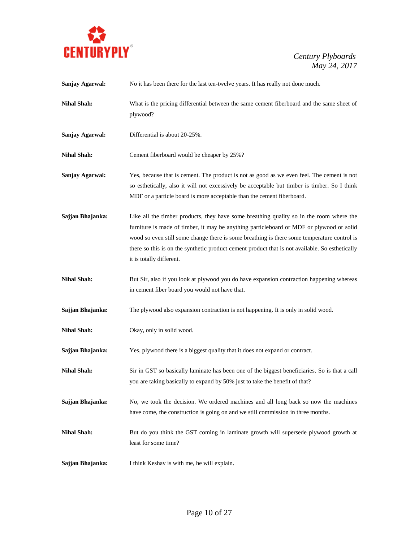

| Sanjay Agarwal:    | No it has been there for the last ten-twelve years. It has really not done much.                                                                                                                                                                                                                                                                                                                                  |
|--------------------|-------------------------------------------------------------------------------------------------------------------------------------------------------------------------------------------------------------------------------------------------------------------------------------------------------------------------------------------------------------------------------------------------------------------|
| <b>Nihal Shah:</b> | What is the pricing differential between the same cement fiberboard and the same sheet of<br>plywood?                                                                                                                                                                                                                                                                                                             |
| Sanjay Agarwal:    | Differential is about 20-25%.                                                                                                                                                                                                                                                                                                                                                                                     |
| <b>Nihal Shah:</b> | Cement fiberboard would be cheaper by 25%?                                                                                                                                                                                                                                                                                                                                                                        |
| Sanjay Agarwal:    | Yes, because that is cement. The product is not as good as we even feel. The cement is not<br>so esthetically, also it will not excessively be acceptable but timber is timber. So I think<br>MDF or a particle board is more acceptable than the cement fiberboard.                                                                                                                                              |
| Sajjan Bhajanka:   | Like all the timber products, they have some breathing quality so in the room where the<br>furniture is made of timber, it may be anything particleboard or MDF or plywood or solid<br>wood so even still some change there is some breathing is there some temperature control is<br>there so this is on the synthetic product cement product that is not available. So esthetically<br>it is totally different. |
| <b>Nihal Shah:</b> | But Sir, also if you look at plywood you do have expansion contraction happening whereas<br>in cement fiber board you would not have that.                                                                                                                                                                                                                                                                        |
| Sajjan Bhajanka:   | The plywood also expansion contraction is not happening. It is only in solid wood.                                                                                                                                                                                                                                                                                                                                |
| <b>Nihal Shah:</b> | Okay, only in solid wood.                                                                                                                                                                                                                                                                                                                                                                                         |
| Sajjan Bhajanka:   | Yes, plywood there is a biggest quality that it does not expand or contract.                                                                                                                                                                                                                                                                                                                                      |
| <b>Nihal Shah:</b> | Sir in GST so basically laminate has been one of the biggest beneficiaries. So is that a call<br>you are taking basically to expand by 50% just to take the benefit of that?                                                                                                                                                                                                                                      |
| Sajjan Bhajanka:   | No, we took the decision. We ordered machines and all long back so now the machines<br>have come, the construction is going on and we still commission in three months.                                                                                                                                                                                                                                           |
| <b>Nihal Shah:</b> | But do you think the GST coming in laminate growth will supersede plywood growth at<br>least for some time?                                                                                                                                                                                                                                                                                                       |
| Sajjan Bhajanka:   | I think Keshav is with me, he will explain.                                                                                                                                                                                                                                                                                                                                                                       |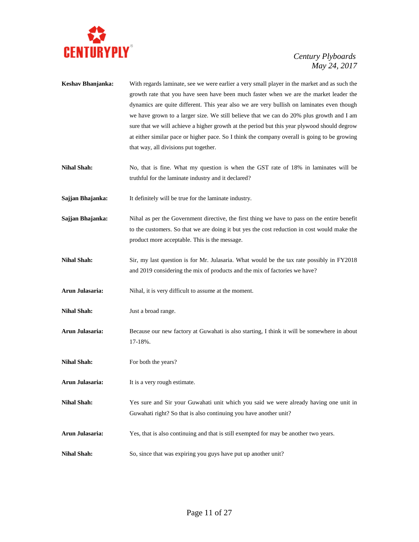

**Keshav Bhanjanka:** With regards laminate, see we were earlier a very small player in the market and as such the growth rate that you have seen have been much faster when we are the market leader the dynamics are quite different. This year also we are very bullish on laminates even though we have grown to a larger size. We still believe that we can do 20% plus growth and I am sure that we will achieve a higher growth at the period but this year plywood should degrow at either similar pace or higher pace. So I think the company overall is going to be growing that way, all divisions put together. **Nihal Shah:** No, that is fine. What my question is when the GST rate of 18% in laminates will be truthful for the laminate industry and it declared? **Sajjan Bhajanka:** It definitely will be true for the laminate industry. **Sajjan Bhajanka:** Nihal as per the Government directive, the first thing we have to pass on the entire benefit to the customers. So that we are doing it but yes the cost reduction in cost would make the product more acceptable. This is the message. **Nihal Shah:** Sir, my last question is for Mr. Julasaria. What would be the tax rate possibly in FY2018 and 2019 considering the mix of products and the mix of factories we have? Arun Julasaria: Nihal, it is very difficult to assume at the moment. **Nihal Shah:** Just a broad range. **Arun Julasaria:** Because our new factory at Guwahati is also starting, I think it will be somewhere in about 17-18%. **Nihal Shah:** For both the years? **Arun Julasaria:** It is a very rough estimate. **Nihal Shah:** Yes sure and Sir your Guwahati unit which you said we were already having one unit in Guwahati right? So that is also continuing you have another unit? **Arun Julasaria:** Yes, that is also continuing and that is still exempted for may be another two years. **Nihal Shah:** So, since that was expiring you guys have put up another unit?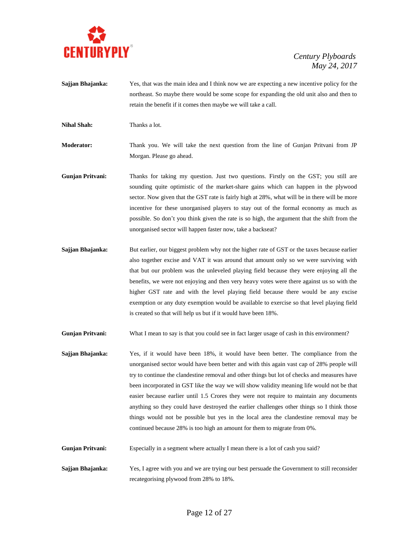

- **Sajjan Bhajanka:** Yes, that was the main idea and I think now we are expecting a new incentive policy for the northeast. So maybe there would be some scope for expanding the old unit also and then to retain the benefit if it comes then maybe we will take a call.
- **Nihal Shah:** Thanks a lot.

**Moderator:** Thank you. We will take the next question from the line of Gunjan Pritvani from JP Morgan. Please go ahead.

- **Gunjan Pritvani:** Thanks for taking my question. Just two questions. Firstly on the GST; you still are sounding quite optimistic of the market-share gains which can happen in the plywood sector. Now given that the GST rate is fairly high at 28%, what will be in there will be more incentive for these unorganised players to stay out of the formal economy as much as possible. So don't you think given the rate is so high, the argument that the shift from the unorganised sector will happen faster now, take a backseat?
- **Sajjan Bhajanka:** But earlier, our biggest problem why not the higher rate of GST or the taxes because earlier also together excise and VAT it was around that amount only so we were surviving with that but our problem was the unleveled playing field because they were enjoying all the benefits, we were not enjoying and then very heavy votes were there against us so with the higher GST rate and with the level playing field because there would be any excise exemption or any duty exemption would be available to exercise so that level playing field is created so that will help us but if it would have been 18%.

**Gunjan Pritvani:** What I mean to say is that you could see in fact larger usage of cash in this environment?

- **Sajjan Bhajanka:** Yes, if it would have been 18%, it would have been better. The compliance from the unorganised sector would have been better and with this again vast cap of 28% people will try to continue the clandestine removal and other things but lot of checks and measures have been incorporated in GST like the way we will show validity meaning life would not be that easier because earlier until 1.5 Crores they were not require to maintain any documents anything so they could have destroyed the earlier challenges other things so I think those things would not be possible but yes in the local area the clandestine removal may be continued because 28% is too high an amount for them to migrate from 0%.
- **Gunjan Pritvani:** Especially in a segment where actually I mean there is a lot of cash you said?
- **Sajjan Bhajanka:** Yes, I agree with you and we are trying our best persuade the Government to still reconsider recategorising plywood from 28% to 18%.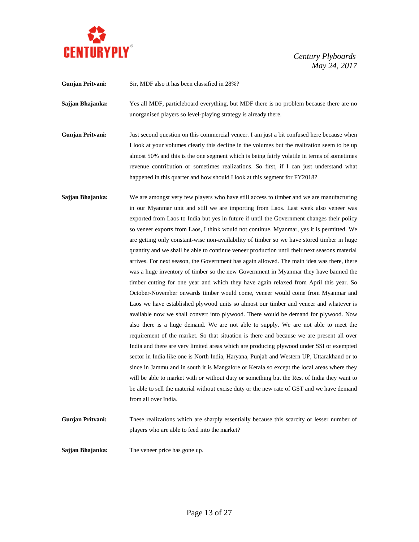

**Gunjan Pritvani:** Sir, MDF also it has been classified in 28%?

**Sajjan Bhajanka:** Yes all MDF, particleboard everything, but MDF there is no problem because there are no unorganised players so level-playing strategy is already there.

**Gunjan Pritvani:** Just second question on this commercial veneer. I am just a bit confused here because when I look at your volumes clearly this decline in the volumes but the realization seem to be up almost 50% and this is the one segment which is being fairly volatile in terms of sometimes revenue contribution or sometimes realizations. So first, if I can just understand what happened in this quarter and how should I look at this segment for FY2018?

**Sajjan Bhajanka:** We are amongst very few players who have still access to timber and we are manufacturing in our Myanmar unit and still we are importing from Laos. Last week also veneer was exported from Laos to India but yes in future if until the Government changes their policy so veneer exports from Laos, I think would not continue. Myanmar, yes it is permitted. We are getting only constant-wise non-availability of timber so we have stored timber in huge quantity and we shall be able to continue veneer production until their next seasons material arrives. For next season, the Government has again allowed. The main idea was there, there was a huge inventory of timber so the new Government in Myanmar they have banned the timber cutting for one year and which they have again relaxed from April this year. So October-November onwards timber would come, veneer would come from Myanmar and Laos we have established plywood units so almost our timber and veneer and whatever is available now we shall convert into plywood. There would be demand for plywood. Now also there is a huge demand. We are not able to supply. We are not able to meet the requirement of the market. So that situation is there and because we are present all over India and there are very limited areas which are producing plywood under SSI or exempted sector in India like one is North India, Haryana, Punjab and Western UP, Uttarakhand or to since in Jammu and in south it is Mangalore or Kerala so except the local areas where they will be able to market with or without duty or something but the Rest of India they want to be able to sell the material without excise duty or the new rate of GST and we have demand from all over India.

**Gunjan Pritvani:** These realizations which are sharply essentially because this scarcity or lesser number of players who are able to feed into the market?

**Sajjan Bhajanka:** The veneer price has gone up.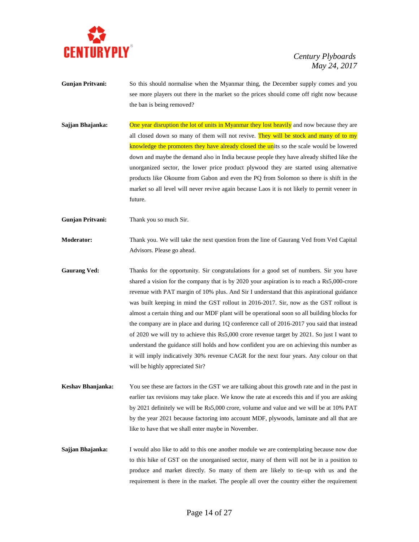

- **Gunjan Pritvani:** So this should normalise when the Myanmar thing, the December supply comes and you see more players out there in the market so the prices should come off right now because the ban is being removed?
- **Sajjan Bhajanka:** One year disruption the lot of units in Myanmar they lost heavily and now because they are all closed down so many of them will not revive. They will be stock and many of to my knowledge the promoters they have already closed the units so the scale would be lowered down and maybe the demand also in India because people they have already shifted like the unorganized sector, the lower price product plywood they are started using alternative products like Okoume from Gabon and even the PQ from Solomon so there is shift in the market so all level will never revive again because Laos it is not likely to permit veneer in future.
- **Gunjan Pritvani:** Thank you so much Sir.
- **Moderator:** Thank you. We will take the next question from the line of Gaurang Ved from Ved Capital Advisors. Please go ahead.
- Gaurang Ved: Thanks for the opportunity. Sir congratulations for a good set of numbers. Sir you have shared a vision for the company that is by 2020 your aspiration is to reach a Rs5,000-crore revenue with PAT margin of 10% plus. And Sir I understand that this aspirational guidance was built keeping in mind the GST rollout in 2016-2017. Sir, now as the GST rollout is almost a certain thing and our MDF plant will be operational soon so all building blocks for the company are in place and during 1Q conference call of 2016-2017 you said that instead of 2020 we will try to achieve this Rs5,000 crore revenue target by 2021. So just I want to understand the guidance still holds and how confident you are on achieving this number as it will imply indicatively 30% revenue CAGR for the next four years. Any colour on that will be highly appreciated Sir?
- **Keshav Bhanjanka:** You see these are factors in the GST we are talking about this growth rate and in the past in earlier tax revisions may take place. We know the rate at exceeds this and if you are asking by 2021 definitely we will be Rs5,000 crore, volume and value and we will be at 10% PAT by the year 2021 because factoring into account MDF, plywoods, laminate and all that are like to have that we shall enter maybe in November.
- **Sajjan Bhajanka:** I would also like to add to this one another module we are contemplating because now due to this hike of GST on the unorganised sector, many of them will not be in a position to produce and market directly. So many of them are likely to tie-up with us and the requirement is there in the market. The people all over the country either the requirement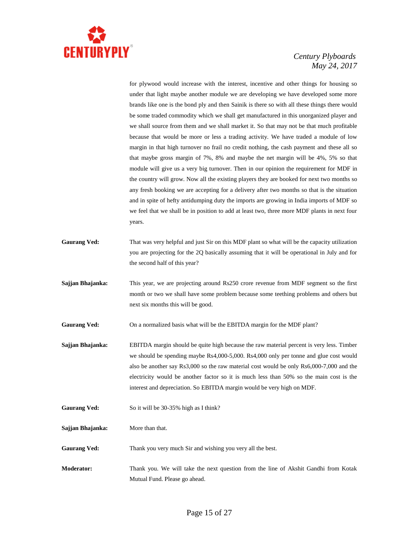

for plywood would increase with the interest, incentive and other things for housing so under that light maybe another module we are developing we have developed some more brands like one is the bond ply and then Sainik is there so with all these things there would be some traded commodity which we shall get manufactured in this unorganized player and we shall source from them and we shall market it. So that may not be that much profitable because that would be more or less a trading activity. We have traded a module of low margin in that high turnover no frail no credit nothing, the cash payment and these all so that maybe gross margin of 7%, 8% and maybe the net margin will be 4%, 5% so that module will give us a very big turnover. Then in our opinion the requirement for MDF in the country will grow. Now all the existing players they are booked for next two months so any fresh booking we are accepting for a delivery after two months so that is the situation and in spite of hefty antidumping duty the imports are growing in India imports of MDF so we feel that we shall be in position to add at least two, three more MDF plants in next four years.

- **Gaurang Ved:** That was very helpful and just Sir on this MDF plant so what will be the capacity utilization you are projecting for the 2Q basically assuming that it will be operational in July and for the second half of this year?
- **Sajjan Bhajanka:** This year, we are projecting around Rs250 crore revenue from MDF segment so the first month or two we shall have some problem because some teething problems and others but next six months this will be good.

**Gaurang Ved:** On a normalized basis what will be the EBITDA margin for the MDF plant?

**Sajjan Bhajanka:** EBITDA margin should be quite high because the raw material percent is very less. Timber we should be spending maybe Rs4,000-5,000. Rs4,000 only per tonne and glue cost would also be another say Rs3,000 so the raw material cost would be only Rs6,000-7,000 and the electricity would be another factor so it is much less than 50% so the main cost is the interest and depreciation. So EBITDA margin would be very high on MDF.

Gaurang Ved: So it will be 30-35% high as I think?

**Sajjan Bhajanka:** More than that.

Gaurang Ved: Thank you very much Sir and wishing you very all the best.

**Moderator:** Thank you. We will take the next question from the line of Akshit Gandhi from Kotak Mutual Fund. Please go ahead.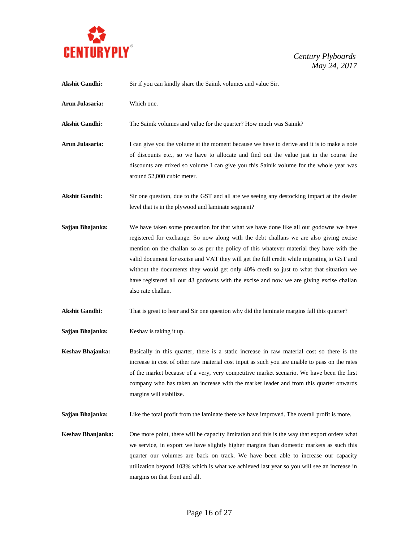

| <b>Akshit Gandhi:</b> | Sir if you can kindly share the Sainik volumes and value Sir.                                                                                                                                                                                                                                                                                                                                                                                                                                                                                                                        |
|-----------------------|--------------------------------------------------------------------------------------------------------------------------------------------------------------------------------------------------------------------------------------------------------------------------------------------------------------------------------------------------------------------------------------------------------------------------------------------------------------------------------------------------------------------------------------------------------------------------------------|
| Arun Julasaria:       | Which one.                                                                                                                                                                                                                                                                                                                                                                                                                                                                                                                                                                           |
| <b>Akshit Gandhi:</b> | The Sainik volumes and value for the quarter? How much was Sainik?                                                                                                                                                                                                                                                                                                                                                                                                                                                                                                                   |
| Arun Julasaria:       | I can give you the volume at the moment because we have to derive and it is to make a note<br>of discounts etc., so we have to allocate and find out the value just in the course the<br>discounts are mixed so volume I can give you this Sainik volume for the whole year was<br>around 52,000 cubic meter.                                                                                                                                                                                                                                                                        |
| <b>Akshit Gandhi:</b> | Sir one question, due to the GST and all are we seeing any destocking impact at the dealer<br>level that is in the plywood and laminate segment?                                                                                                                                                                                                                                                                                                                                                                                                                                     |
| Sajjan Bhajanka:      | We have taken some precaution for that what we have done like all our godowns we have<br>registered for exchange. So now along with the debt challans we are also giving excise<br>mention on the challan so as per the policy of this whatever material they have with the<br>valid document for excise and VAT they will get the full credit while migrating to GST and<br>without the documents they would get only 40% credit so just to what that situation we<br>have registered all our 43 godowns with the excise and now we are giving excise challan<br>also rate challan. |
| <b>Akshit Gandhi:</b> | That is great to hear and Sir one question why did the laminate margins fall this quarter?                                                                                                                                                                                                                                                                                                                                                                                                                                                                                           |
| Sajjan Bhajanka:      | Keshav is taking it up.                                                                                                                                                                                                                                                                                                                                                                                                                                                                                                                                                              |
| Keshav Bhajanka:      | Basically in this quarter, there is a static increase in raw material cost so there is the<br>increase in cost of other raw material cost input as such you are unable to pass on the rates<br>of the market because of a very, very competitive market scenario. We have been the first<br>company who has taken an increase with the market leader and from this quarter onwards<br>margins will stabilize.                                                                                                                                                                        |
| Sajjan Bhajanka:      | Like the total profit from the laminate there we have improved. The overall profit is more.                                                                                                                                                                                                                                                                                                                                                                                                                                                                                          |
| Keshav Bhanjanka:     | One more point, there will be capacity limitation and this is the way that export orders what<br>we service, in export we have slightly higher margins than domestic markets as such this<br>quarter our volumes are back on track. We have been able to increase our capacity<br>utilization beyond 103% which is what we achieved last year so you will see an increase in<br>margins on that front and all.                                                                                                                                                                       |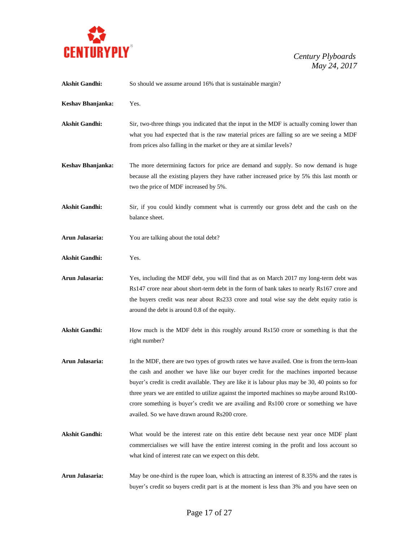

| <b>Akshit Gandhi:</b> | So should we assume around 16% that is sustainable margin?                                                                                                                                                                                                                                                                                                                                                                                                                                                                      |
|-----------------------|---------------------------------------------------------------------------------------------------------------------------------------------------------------------------------------------------------------------------------------------------------------------------------------------------------------------------------------------------------------------------------------------------------------------------------------------------------------------------------------------------------------------------------|
| Keshav Bhanjanka:     | Yes.                                                                                                                                                                                                                                                                                                                                                                                                                                                                                                                            |
| <b>Akshit Gandhi:</b> | Sir, two-three things you indicated that the input in the MDF is actually coming lower than<br>what you had expected that is the raw material prices are falling so are we seeing a MDF<br>from prices also falling in the market or they are at similar levels?                                                                                                                                                                                                                                                                |
| Keshav Bhanjanka:     | The more determining factors for price are demand and supply. So now demand is huge<br>because all the existing players they have rather increased price by 5% this last month or<br>two the price of MDF increased by 5%.                                                                                                                                                                                                                                                                                                      |
| <b>Akshit Gandhi:</b> | Sir, if you could kindly comment what is currently our gross debt and the cash on the<br>balance sheet.                                                                                                                                                                                                                                                                                                                                                                                                                         |
| Arun Julasaria:       | You are talking about the total debt?                                                                                                                                                                                                                                                                                                                                                                                                                                                                                           |
| <b>Akshit Gandhi:</b> | Yes.                                                                                                                                                                                                                                                                                                                                                                                                                                                                                                                            |
| Arun Julasaria:       | Yes, including the MDF debt, you will find that as on March 2017 my long-term debt was<br>Rs147 crore near about short-term debt in the form of bank takes to nearly Rs167 crore and<br>the buyers credit was near about Rs233 crore and total wise say the debt equity ratio is<br>around the debt is around 0.8 of the equity.                                                                                                                                                                                                |
| <b>Akshit Gandhi:</b> | How much is the MDF debt in this roughly around Rs150 crore or something is that the<br>right number?                                                                                                                                                                                                                                                                                                                                                                                                                           |
| Arun Julasaria:       | In the MDF, there are two types of growth rates we have availed. One is from the term-loan<br>the cash and another we have like our buyer credit for the machines imported because<br>buyer's credit is credit available. They are like it is labour plus may be 30, 40 points so for<br>three years we are entitled to utilize against the imported machines so maybe around Rs100-<br>crore something is buyer's credit we are availing and Rs100 crore or something we have<br>availed. So we have drawn around Rs200 crore. |
| <b>Akshit Gandhi:</b> | What would be the interest rate on this entire debt because next year once MDF plant<br>commercialises we will have the entire interest coming in the profit and loss account so<br>what kind of interest rate can we expect on this debt.                                                                                                                                                                                                                                                                                      |
| Arun Julasaria:       | May be one-third is the rupee loan, which is attracting an interest of 8.35% and the rates is<br>buyer's credit so buyers credit part is at the moment is less than 3% and you have seen on                                                                                                                                                                                                                                                                                                                                     |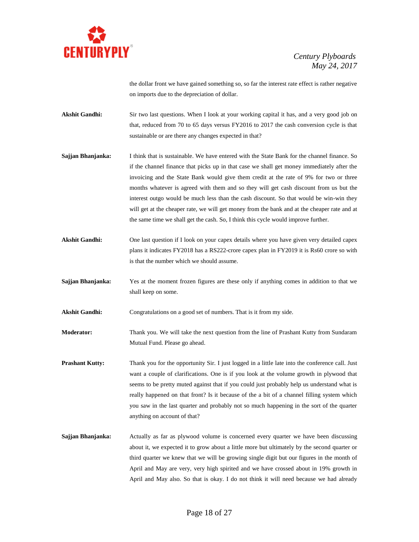

the dollar front we have gained something so, so far the interest rate effect is rather negative on imports due to the depreciation of dollar.

- Akshit Gandhi: Sir two last questions. When I look at your working capital it has, and a very good job on that, reduced from 70 to 65 days versus FY2016 to 2017 the cash conversion cycle is that sustainable or are there any changes expected in that?
- **Sajjan Bhanjanka:** I think that is sustainable. We have entered with the State Bank for the channel finance. So if the channel finance that picks up in that case we shall get money immediately after the invoicing and the State Bank would give them credit at the rate of 9% for two or three months whatever is agreed with them and so they will get cash discount from us but the interest outgo would be much less than the cash discount. So that would be win-win they will get at the cheaper rate, we will get money from the bank and at the cheaper rate and at the same time we shall get the cash. So, I think this cycle would improve further.
- **Akshit Gandhi:** One last question if I look on your capex details where you have given very detailed capex plans it indicates FY2018 has a RS222-crore capex plan in FY2019 it is Rs60 crore so with is that the number which we should assume.
- **Sajjan Bhanjanka:** Yes at the moment frozen figures are these only if anything comes in addition to that we shall keep on some.

Akshit Gandhi: Congratulations on a good set of numbers. That is it from my side.

- **Moderator:** Thank you. We will take the next question from the line of Prashant Kutty from Sundaram Mutual Fund. Please go ahead.
- **Prashant Kutty:** Thank you for the opportunity Sir. I just logged in a little late into the conference call. Just want a couple of clarifications. One is if you look at the volume growth in plywood that seems to be pretty muted against that if you could just probably help us understand what is really happened on that front? Is it because of the a bit of a channel filling system which you saw in the last quarter and probably not so much happening in the sort of the quarter anything on account of that?
- **Sajjan Bhanjanka:** Actually as far as plywood volume is concerned every quarter we have been discussing about it, we expected it to grow about a little more but ultimately by the second quarter or third quarter we knew that we will be growing single digit but our figures in the month of April and May are very, very high spirited and we have crossed about in 19% growth in April and May also. So that is okay. I do not think it will need because we had already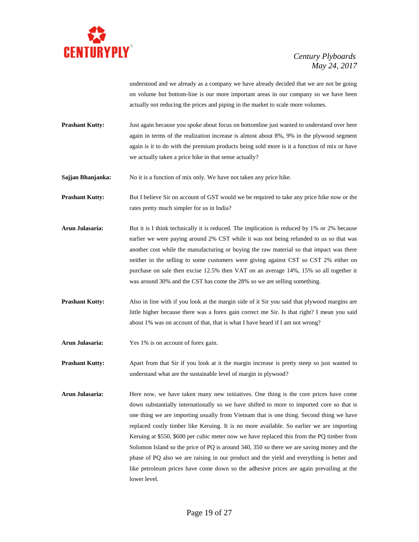

understood and we already as a company we have already decided that we are not be going on volume but bottom-line is our more important areas in our company so we have been actually not reducing the prices and piping in the market to scale more volumes.

**Prashant Kutty:** Just again because you spoke about focus on bottomline just wanted to understand over here again in terms of the realization increase is almost about 8%, 9% in the plywood segment again is it to do with the premium products being sold more is it a function of mix or have we actually taken a price hike in that sense actually?

**Sajjan Bhanjanka:** No it is a function of mix only. We have not taken any price hike.

**Prashant Kutty:** But I believe Sir on account of GST would we be required to take any price hike now or the rates pretty much simpler for us in India?

- Arun Julasaria: But it is I think technically it is reduced. The implication is reduced by 1% or 2% because earlier we were paying around 2% CST while it was not being refunded to us so that was another cost while the manufacturing or buying the raw material so that impact was there neither in the selling to some customers were giving against CST so CST 2% either on purchase on sale then excise 12.5% then VAT on an average 14%, 15% so all together it was around 30% and the CST has come the 28% so we are selling something.
- **Prashant Kutty:** Also in line with if you look at the margin side of it Sir you said that plywood margins are little higher because there was a forex gain correct me Sir. Is that right? I mean you said about 1% was on account of that, that is what I have heard if I am not wrong?
- **Arun Julasaria:** Yes 1% is on account of forex gain.

**Prashant Kutty:** Apart from that Sir if you look at it the margin increase is pretty steep so just wanted to understand what are the sustainable level of margin in plywood?

Arun Julasaria: Here now, we have taken many new initiatives. One thing is the core prices have come down substantially internationally so we have shifted to more to imported core so that is one thing we are importing usually from Vietnam that is one thing. Second thing we have replaced costly timber like Keruing. It is no more available. So earlier we are importing Keruing at \$550, \$600 per cubic meter now we have replaced this from the PQ timber from Solomon Island so the price of PQ is around 340, 350 so there we are saving money and the phase of PQ also we are raising in our product and the yield and everything is better and like petroleum prices have come down so the adhesive prices are again prevailing at the lower level.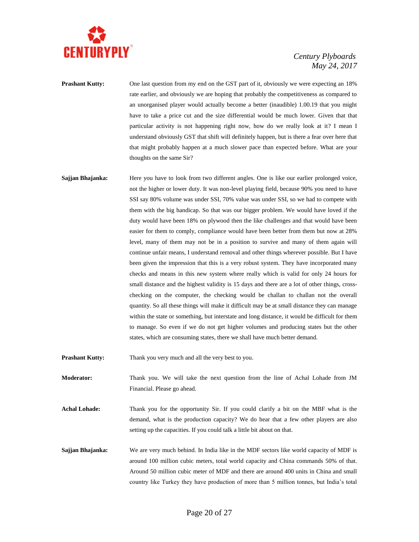

**Prashant Kutty:** One last question from my end on the GST part of it, obviously we were expecting an 18% rate earlier, and obviously we are hoping that probably the competitiveness as compared to an unorganised player would actually become a better (inaudible) 1.00.19 that you might have to take a price cut and the size differential would be much lower. Given that that particular activity is not happening right now, how do we really look at it? I mean I understand obviously GST that shift will definitely happen, but is there a fear over here that that might probably happen at a much slower pace than expected before. What are your thoughts on the same Sir?

**Sajjan Bhajanka:** Here you have to look from two different angles. One is like our earlier prolonged voice, not the higher or lower duty. It was non-level playing field, because 90% you need to have SSI say 80% volume was under SSI, 70% value was under SSI, so we had to compete with them with the big handicap. So that was our bigger problem. We would have loved if the duty would have been 18% on plywood then the like challenges and that would have been easier for them to comply, compliance would have been better from them but now at 28% level, many of them may not be in a position to survive and many of them again will continue unfair means, I understand removal and other things wherever possible. But I have been given the impression that this is a very robust system. They have incorporated many checks and means in this new system where really which is valid for only 24 hours for small distance and the highest validity is 15 days and there are a lot of other things, crosschecking on the computer, the checking would be challan to challan not the overall quantity. So all these things will make it difficult may be at small distance they can manage within the state or something, but interstate and long distance, it would be difficult for them to manage. So even if we do not get higher volumes and producing states but the other states, which are consuming states, there we shall have much better demand.

**Prashant Kutty:** Thank you very much and all the very best to you.

**Moderator:** Thank you. We will take the next question from the line of Achal Lohade from JM Financial. Please go ahead.

**Achal Lohade:** Thank you for the opportunity Sir. If you could clarify a bit on the MBF what is the demand, what is the production capacity? We do hear that a few other players are also setting up the capacities. If you could talk a little bit about on that.

**Sajjan Bhajanka:** We are very much behind. In India like in the MDF sectors like world capacity of MDF is around 100 million cubic meters, total world capacity and China commands 50% of that. Around 50 million cubic meter of MDF and there are around 400 units in China and small country like Turkey they have production of more than 5 million tonnes, but India's total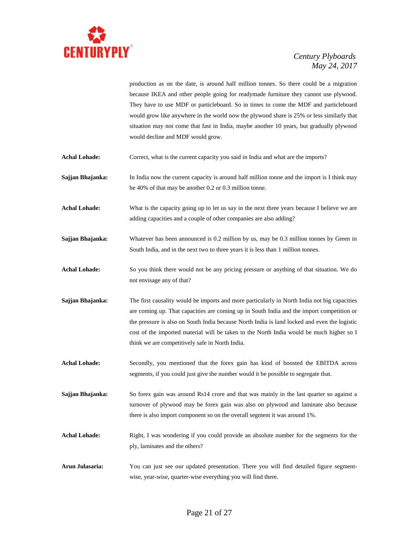

production as on the date, is around half million tonnes. So there could be a migration because IKEA and other people going for readymade furniture they cannot use plywood. They have to use MDF or particleboard. So in times to come the MDF and particleboard would grow like anywhere in the world now the plywood share is 25% or less similarly that situation may not come that fast in India, maybe another 10 years, but gradually plywood would decline and MDF would grow.

- Achal Lohade: Correct, what is the current capacity you said in India and what are the imports?
- **Sajjan Bhajanka:** In India now the current capacity is around half million tonne and the import is I think may be 40% of that may be another 0.2 or 0.3 million tonne.
- Achal Lohade: What is the capacity going up to let us say in the next three years because I believe we are adding capacities and a couple of other companies are also adding?
- **Sajjan Bhajanka:** Whatever has been announced is 0.2 million by us, may be 0.3 million tonnes by Green in South India, and in the next two to three years it is less than 1 million tonnes.
- **Achal Lohade:** So you think there would not be any pricing pressure or anything of that situation. We do not envisage any of that?
- **Sajjan Bhajanka:** The first causality would be imports and more particularly in North India not big capacities are coming up. That capacities are coming up in South India and the import competition or the pressure is also on South India because North India is land locked and even the logistic cost of the imported material will be taken to the North India would be much higher so I think we are competitively safe in North India.
- Achal Lohade: Secondly, you mentioned that the forex gain has kind of boosted the EBITDA across segments, if you could just give the number would it be possible to segregate that.
- **Sajjan Bhajanka:** So forex gain was around Rs14 crore and that was mainly in the last quarter so against a turnover of plywood may be forex gain was also on plywood and laminate also because there is also import component so on the overall segment it was around 1%.
- **Achal Lohade:** Right, I was wondering if you could provide an absolute number for the segments for the ply, laminates and the others?
- **Arun Julasaria:** You can just see our updated presentation. There you will find detailed figure segmentwise, year-wise, quarter-wise everything you will find there.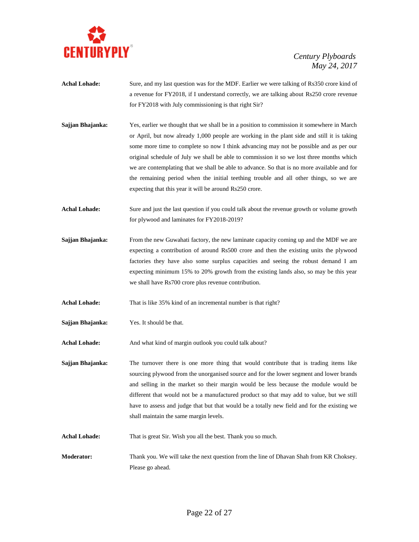

- Achal Lohade: Sure, and my last question was for the MDF. Earlier we were talking of Rs350 crore kind of a revenue for FY2018, if I understand correctly, we are talking about Rs250 crore revenue for FY2018 with July commissioning is that right Sir?
- **Sajjan Bhajanka:** Yes, earlier we thought that we shall be in a position to commission it somewhere in March or April, but now already 1,000 people are working in the plant side and still it is taking some more time to complete so now I think advancing may not be possible and as per our original schedule of July we shall be able to commission it so we lost three months which we are contemplating that we shall be able to advance. So that is no more available and for the remaining period when the initial teething trouble and all other things, so we are expecting that this year it will be around Rs250 crore.
- Achal Lohade: Sure and just the last question if you could talk about the revenue growth or volume growth for plywood and laminates for FY2018-2019?
- **Sajjan Bhajanka:** From the new Guwahati factory, the new laminate capacity coming up and the MDF we are expecting a contribution of around Rs500 crore and then the existing units the plywood factories they have also some surplus capacities and seeing the robust demand I am expecting minimum 15% to 20% growth from the existing lands also, so may be this year we shall have Rs700 crore plus revenue contribution.
- **Achal Lohade:** That is like 35% kind of an incremental number is that right?
- **Sajjan Bhajanka:** Yes. It should be that.
- Achal Lohade: And what kind of margin outlook you could talk about?
- **Sajjan Bhajanka:** The turnover there is one more thing that would contribute that is trading items like sourcing plywood from the unorganised source and for the lower segment and lower brands and selling in the market so their margin would be less because the module would be different that would not be a manufactured product so that may add to value, but we still have to assess and judge that but that would be a totally new field and for the existing we shall maintain the same margin levels.
- **Achal Lohade:** That is great Sir. Wish you all the best. Thank you so much.
- **Moderator:** Thank you. We will take the next question from the line of Dhavan Shah from KR Choksey. Please go ahead.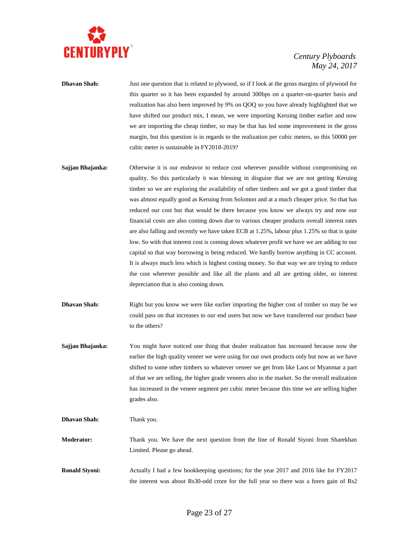

**Dhavan Shah:** Just one question that is related to plywood, so if I look at the gross margins of plywood for this quarter so it has been expanded by around 300bps on a quarter-on-quarter basis and realization has also been improved by 9% on QOQ so you have already highlighted that we have shifted our product mix, I mean, we were importing Keruing timber earlier and now we are importing the cheap timber, so may be that has led some improvement in the gross margin, but this question is in regards to the realization per cubic meters, so this 50000 per cubic meter is sustainable in FY2018-2019?

- **Sajjan Bhajanka:** Otherwise it is our endeavor to reduce cost wherever possible without compromising on quality. So this particularly it was blessing in disguise that we are not getting Keruing timber so we are exploring the availability of other timbers and we got a good timber that was almost equally good as Keruing from Solomon and at a much cheaper price. So that has reduced our cost but that would be there because you know we always try and now our financial costs are also coming down due to various cheaper products overall interest rates are also falling and recently we have taken ECB at 1.25%, labour plus 1.25% so that is quite low. So with that interest cost is coming down whatever profit we have we are adding to our capital so that way borrowing is being reduced. We hardly borrow anything in CC account. It is always much less which is highest costing money. So that way we are trying to reduce the cost wherever possible and like all the plants and all are getting older, so interest depreciation that is also coming down.
- **Dhavan Shah:** Right but you know we were like earlier importing the higher cost of timber so may be we could pass on that increases to our end users but now we have transferred our product base to the others?
- **Sajjan Bhajanka:** You might have noticed one thing that dealer realization has increased because now the earlier the high quality veneer we were using for our own products only but now as we have shifted to some other timbers so whatever veneer we get from like Laos or Myanmar a part of that we are selling, the higher grade veneers also in the market. So the overall realization has increased in the veneer segment per cubic meter because this time we are selling higher grades also.

**Dhavan Shah:** Thank you.

**Moderator:** Thank you. We have the next question from the line of Ronald Siyoni from Sharekhan Limited. Please go ahead.

**Ronald Siyoni:** Actually I had a few bookkeeping questions; for the year 2017 and 2016 like for FY2017 the interest was about Rs30-odd crore for the full year so there was a forex gain of Rs2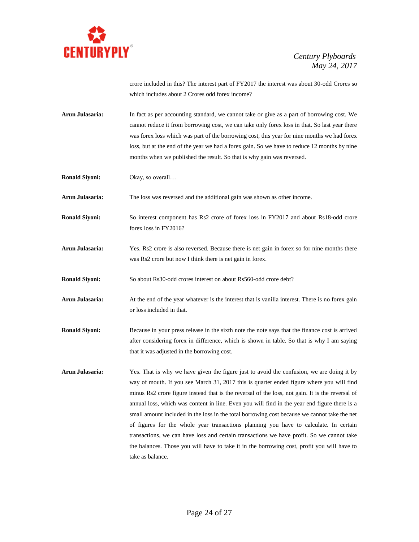

crore included in this? The interest part of FY2017 the interest was about 30-odd Crores so which includes about 2 Crores odd forex income?

**Arun Julasaria:** In fact as per accounting standard, we cannot take or give as a part of borrowing cost. We cannot reduce it from borrowing cost, we can take only forex loss in that. So last year there was forex loss which was part of the borrowing cost, this year for nine months we had forex loss, but at the end of the year we had a forex gain. So we have to reduce 12 months by nine months when we published the result. So that is why gain was reversed.

**Ronald Siyoni:** Okay, so overall…

**Arun Julasaria:** The loss was reversed and the additional gain was shown as other income.

**Ronald Siyoni:** So interest component has Rs2 crore of forex loss in FY2017 and about Rs18-odd crore forex loss in FY2016?

**Arun Julasaria:** Yes. Rs2 crore is also reversed. Because there is net gain in forex so for nine months there was Rs2 crore but now I think there is net gain in forex.

**Ronald Siyoni:** So about Rs30-odd crores interest on about Rs560-odd crore debt?

- **Arun Julasaria:** At the end of the year whatever is the interest that is vanilla interest. There is no forex gain or loss included in that.
- **Ronald Siyoni:** Because in your press release in the sixth note the note says that the finance cost is arrived after considering forex in difference, which is shown in table. So that is why I am saying that it was adjusted in the borrowing cost.
- **Arun Julasaria:** Yes. That is why we have given the figure just to avoid the confusion, we are doing it by way of mouth. If you see March 31, 2017 this is quarter ended figure where you will find minus Rs2 crore figure instead that is the reversal of the loss, not gain. It is the reversal of annual loss, which was content in line. Even you will find in the year end figure there is a small amount included in the loss in the total borrowing cost because we cannot take the net of figures for the whole year transactions planning you have to calculate. In certain transactions, we can have loss and certain transactions we have profit. So we cannot take the balances. Those you will have to take it in the borrowing cost, profit you will have to take as balance.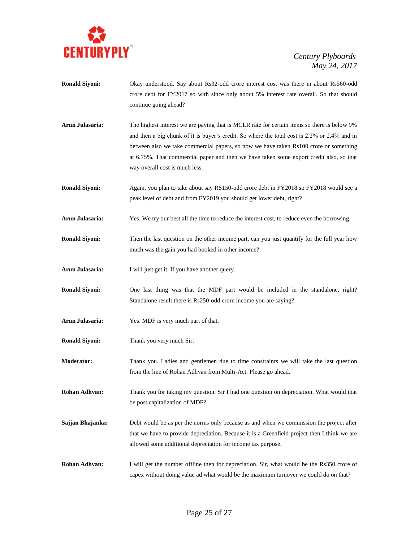

- **Ronald Siyoni:** Okay understood. Say about Rs32-odd crore interest cost was there in about Rs560-odd crore debt for FY2017 so with since only about 5% interest rate overall. So that should continue going ahead?
- **Arun Julasaria:** The highest interest we are paying that is MCLR rate for certain items so there is below 9% and then a big chunk of it is buyer's credit. So where the total cost is 2.2% or 2.4% and in between also we take commercial papers, so now we have taken Rs100 crore or something at 6.75%. That commercial paper and then we have taken some export credit also, so that way overall cost is much less.
- **Ronald Siyoni:** Again, you plan to take about say RS150-odd crore debt in FY2018 so FY2018 would see a peak level of debt and from FY2019 you should get lower debt, right?
- **Arun Julasaria:** Yes. We try our best all the time to reduce the interest cost, to reduce even the borrowing.
- **Ronald Siyoni:** Then the last question on the other income part, can you just quantify for the full year how much was the gain you had booked in other income?
- **Arun Julasaria:** I will just get it. If you have another query.
- **Ronald Siyoni:** One last thing was that the MDF part would be included in the standalone, right? Standalone result there is Rs250-odd crore income you are saying?
- **Arun Julasaria:** Yes. MDF is very much part of that.
- **Ronald Siyoni:** Thank you very much Sir.
- **Moderator:** Thank you. Ladies and gentlemen due to time constraints we will take the last question from the line of Rohan Adhvan from Multi-Act. Please go ahead.
- **Rohan Adhvan:** Thank you for taking my question. Sir I had one question on depreciation. What would that be post capitalization of MDF?
- **Sajjan Bhajanka:** Debt would be as per the norms only because as and when we commission the project after that we have to provide depreciation. Because it is a Greenfield project then I think we are allowed some additional depreciation for income tax purpose.
- **Rohan Adhvan:** I will get the number offline then for depreciation. Sir, what would be the Rs350 crore of capex without doing value ad what would be the maximum turnover we could do on that?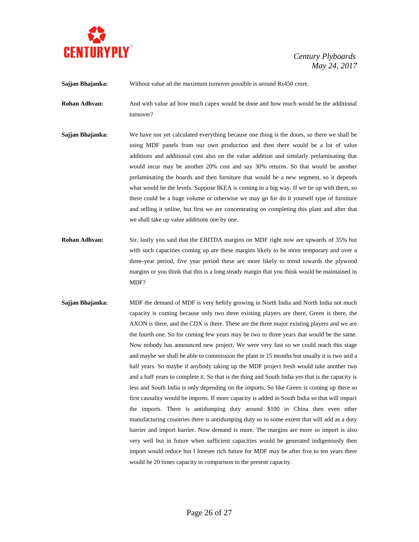

**Sajjan Bhajanka:** Without value ad the maximum turnover possible is around Rs450 crore.

**Rohan Adhvan:** And with value ad how much capex would be done and how much would be the additional turnover?

- **Sajjan Bhajanka:** We have not yet calculated everything because one thing is the doors, so there we shall be using MDF panels from our own production and then there would be a lot of value additions and additional cost also on the value addition and similarly prelaminating that would incur may be another 20% cost and say 30% returns. So that would be another prelaminating the boards and then furniture that would be a new segment, so it depends what would be the levels. Suppose IKEA is coming in a big way. If we tie up with them, so there could be a huge volume or otherwise we may go for do it yourself type of furniture and selling it online, but first we are concentrating on completing this plant and after that we shall take up value additions one by one.
- **Rohan Adhvan:** Sir, lastly you said that the EBITDA margins on MDF right now are upwards of 35% but with such capacities coming up are these margins likely to be more temporary and over a three-year period, five year period these are more likely to trend towards the plywood margins or you think that this is a long steady margin that you think would be maintained in MDF?
- **Sajjan Bhajanka:** MDF the demand of MDF is very heftily growing in North India and North India not much capacity is coming because only two three existing players are there, Green is there, the AXON is there, and the CDX is there. These are the three major existing players and we are the fourth one. So for coming few years may be two to three years that would be the same. Now nobody has announced new project. We were very fast so we could reach this stage and maybe we shall be able to commission the plant in 15 months but usually it is two and a half years. So maybe if anybody taking up the MDF project fresh would take another two and a half years to complete it. So that is the thing and South India yes that is the capacity is less and South India is only depending on the imports. So like Green is coming up there so first causality would be imports. If more capacity is added in South India so that will impact the imports. There is antidumping duty around \$100 in China then even other manufacturing countries there is antidumping duty so to some extent that will add as a duty barrier and import barrier. Now demand is more. The margins are more so import is also very well but in future when sufficient capacities would be generated indigenously then import would reduce but I foresee rich future for MDF may be after five to ten years there would be 20 times capacity in comparison to the present capacity.